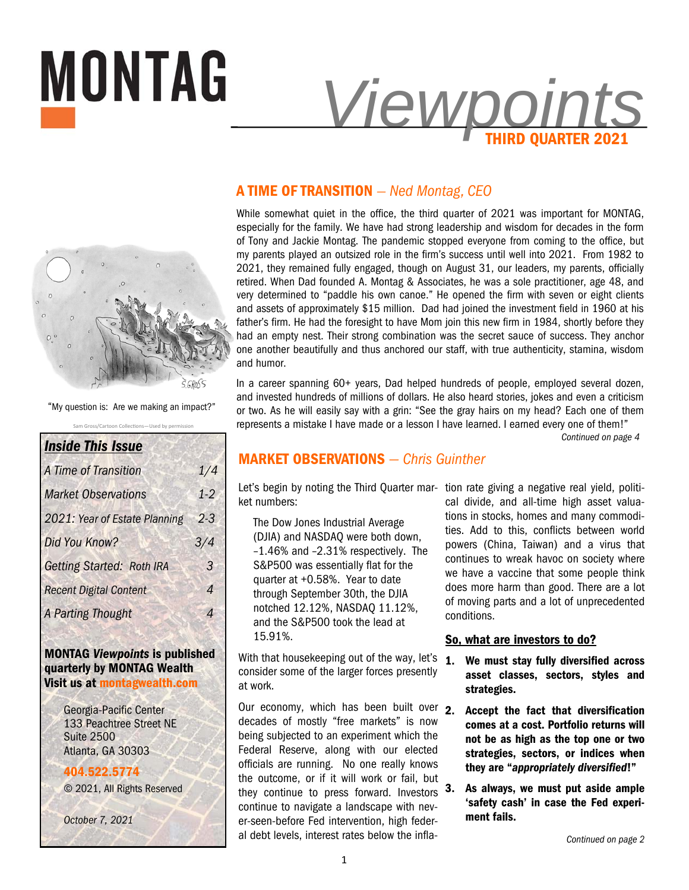



Sam Gross/Cartoon Collections—Used by permission "My question is: Are we making an impact?"

| <b>Inside This Issue</b>         |                |
|----------------------------------|----------------|
| A Time of Transition             | 1/4            |
| <b>Market Observations</b>       | $1 - 2$        |
| 2021: Year of Estate Planning    | 23             |
| Did You Know?                    | 3/4            |
| <b>Getting Started: Roth IRA</b> | 3              |
| <b>Recent Digital Content</b>    | $\overline{A}$ |
| <b>A Parting Thought</b>         | 4              |
|                                  |                |

#### **MONTAG** *Viewpoints* **is published quarterly by MONTAG Wealth Visit us at montagwealth.com**

Georgia-Pacific Center 133 Peachtree Street NE Suite 2500 Atlanta, GA 30303

**404.522.5774** © 2021, All Rights Reserved

*October 7, 2021* 

# **A TIME OF TRANSITION** *— Ned Montag, CEO*

While somewhat quiet in the office, the third quarter of 2021 was important for MONTAG, especially for the family. We have had strong leadership and wisdom for decades in the form of Tony and Jackie Montag. The pandemic stopped everyone from coming to the office, but my parents played an outsized role in the firm's success until well into 2021. From 1982 to 2021, they remained fully engaged, though on August 31, our leaders, my parents, officially retired. When Dad founded A. Montag & Associates, he was a sole practitioner, age 48, and very determined to "paddle his own canoe." He opened the firm with seven or eight clients and assets of approximately \$15 million. Dad had joined the investment field in 1960 at his father's firm. He had the foresight to have Mom join this new firm in 1984, shortly before they had an empty nest. Their strong combination was the secret sauce of success. They anchor one another beautifully and thus anchored our staff, with true authenticity, stamina, wisdom and humor.

In a career spanning 60+ years, Dad helped hundreds of people, employed several dozen, and invested hundreds of millions of dollars. He also heard stories, jokes and even a criticism or two. As he will easily say with a grin: "See the gray hairs on my head? Each one of them represents a mistake I have made or a lesson I have learned. I earned every one of them!"

*Continued on page 4* 

# **MARKET OBSERVATIONS** *— Chris Guinther*

Let's begin by noting the Third Quarter mar- tion rate giving a negative real yield, politiket numbers:

The Dow Jones Industrial Average (DJIA) and NASDAQ were both down, –1.46% and –2.31% respectively. The S&P500 was essentially flat for the quarter at +0.58%. Year to date through September 30th, the DJIA notched 12.12%, NASDAQ 11.12%, and the S&P500 took the lead at 15.91%.

With that housekeeping out of the way, let's  $1$ . consider some of the larger forces presently at work.

Our economy, which has been built over  $\overline{2}$ . decades of mostly "free markets" is now being subjected to an experiment which the Federal Reserve, along with our elected officials are running. No one really knows the outcome, or if it will work or fail, but they continue to press forward. Investors continue to navigate a landscape with never-seen-before Fed intervention, high federal debt levels, interest rates below the infla-

cal divide, and all-time high asset valuations in stocks, homes and many commodities. Add to this, conflicts between world powers (China, Taiwan) and a virus that continues to wreak havoc on society where we have a vaccine that some people think does more harm than good. There are a lot of moving parts and a lot of unprecedented conditions.

#### **So, what are investors to do?**

- **1. We must stay fully diversified across asset classes, sectors, styles and strategies.**
- **2. Accept the fact that diversification comes at a cost. Portfolio returns will not be as high as the top one or two strategies, sectors, or indices when they are "***appropriately diversified***!"**
- **3. As always, we must put aside ample 'safety cash' in case the Fed experiment fails.**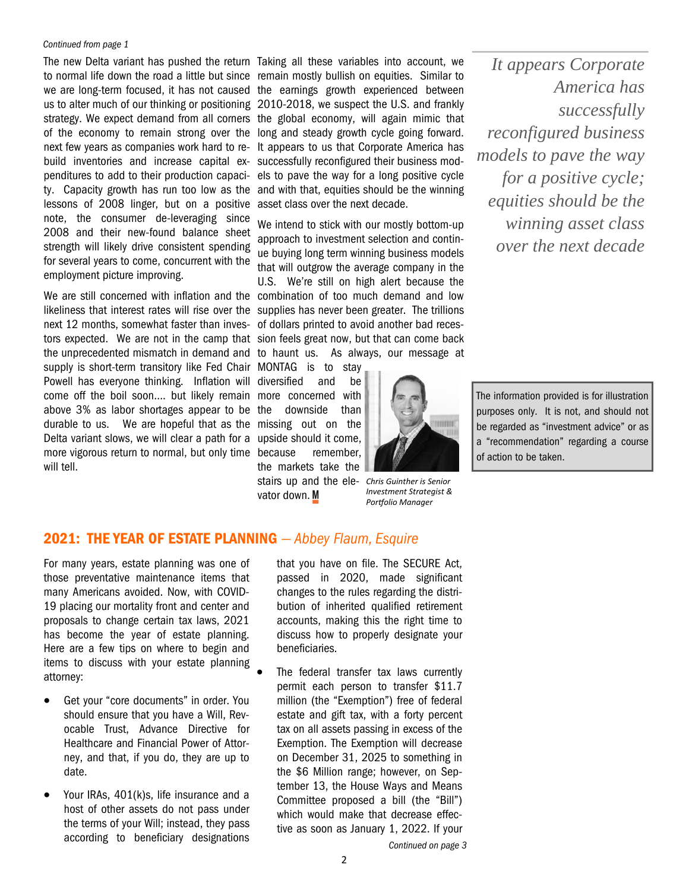#### *Continued from page 1*

build inventories and increase capital ex-successfully reconfigured their business modlessons of 2008 linger, but on a positive asset class over the next decade. note, the consumer de-leveraging since 2008 and their new-found balance sheet strength will likely drive consistent spending for several years to come, concurrent with the employment picture improving.

We are still concerned with inflation and the combination of too much demand and low likeliness that interest rates will rise over the supplies has never been greater. The trillions next 12 months, somewhat faster than inves-of dollars printed to avoid another bad recestors expected. We are not in the camp that sion feels great now, but that can come back the unprecedented mismatch in demand and to haunt us. As always, our message at supply is short-term transitory like Fed Chair MONTAG is to stay Powell has everyone thinking. Inflation will diversified and be come off the boil soon…. but likely remain more concerned with above 3% as labor shortages appear to be the downside than durable to us. We are hopeful that as the missing out on the Delta variant slows, we will clear a path for a upside should it come, more vigorous return to normal, but only time will tell.

The new Delta variant has pushed the return Taking all these variables into account, we to normal life down the road a little but since remain mostly bullish on equities. Similar to we are long-term focused, it has not caused the earnings growth experienced between us to alter much of our thinking or positioning 2010-2018, we suspect the U.S. and frankly strategy. We expect demand from all corners the global economy, will again mimic that of the economy to remain strong over the long and steady growth cycle going forward. next few years as companies work hard to re-It appears to us that Corporate America has penditures to add to their production capaci-els to pave the way for a long positive cycle ty. Capacity growth has run too low as the and with that, equities should be the winning

> We intend to stick with our mostly bottom-up approach to investment selection and continue buying long term winning business models that will outgrow the average company in the U.S. We're still on high alert because the

remember, the markets take the stairs up and the elevator down. M



*Chris Guinther is Senior Investment Strategist & Porƞolio Manager* 

*It appears Corporate America has successfully reconfigured business models to pave the way for a positive cycle; equities should be the winning asset class over the next decade* 

The information provided is for illustration purposes only. It is not, and should not be regarded as "investment advice" or as a "recommendation" regarding a course

of action to be taken.

### **2021: THE YEAR OF ESTATE PLANNING** *— Abbey Flaum, Esquire*

For many years, estate planning was one of those preventative maintenance items that many Americans avoided. Now, with COVID-19 placing our mortality front and center and proposals to change certain tax laws, 2021 has become the year of estate planning. Here are a few tips on where to begin and items to discuss with your estate planning attorney:

- Get your "core documents" in order. You should ensure that you have a Will, Revocable Trust, Advance Directive for Healthcare and Financial Power of Attorney, and that, if you do, they are up to date.
- Your IRAs, 401(k)s, life insurance and a host of other assets do not pass under the terms of your Will; instead, they pass according to beneficiary designations

that you have on file. The SECURE Act, passed in 2020, made significant changes to the rules regarding the distribution of inherited qualified retirement accounts, making this the right time to discuss how to properly designate your beneficiaries.

 The federal transfer tax laws currently permit each person to transfer \$11.7 million (the "Exemption") free of federal estate and gift tax, with a forty percent tax on all assets passing in excess of the Exemption. The Exemption will decrease on December 31, 2025 to something in the \$6 Million range; however, on September 13, the House Ways and Means Committee proposed a bill (the "Bill") which would make that decrease effective as soon as January 1, 2022. If your

*Continued on page 3*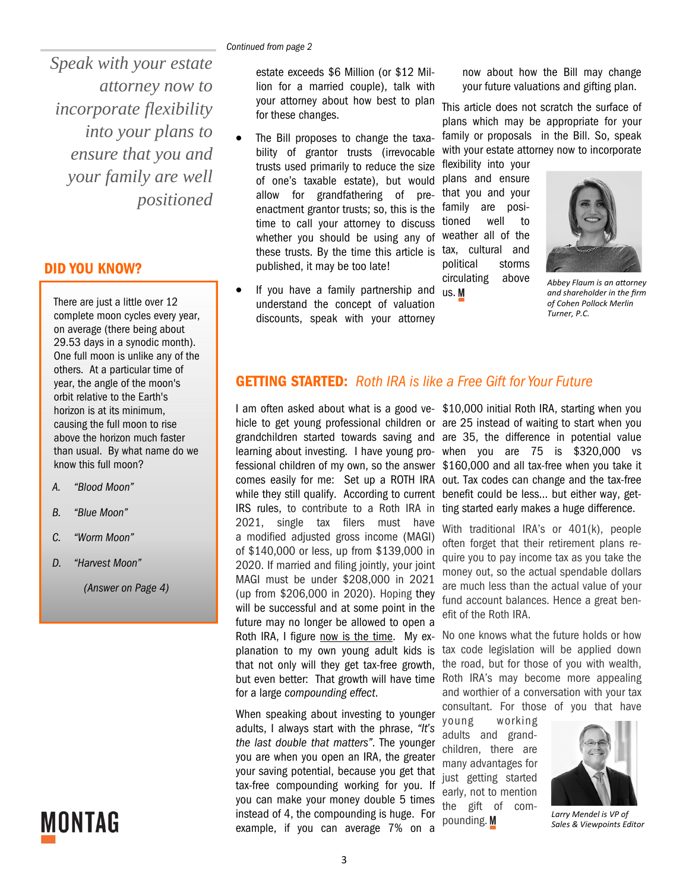*Speak with your estate attorney now to incorporate flexibility into your plans to ensure that you and your family are well positioned* 

#### **DID YOU KNOW?**

There are just a little over 12 complete moon cycles every year, on average (there being about 29.53 days in a synodic month). One full moon is unlike any of the others. At a particular time of year, the angle of the moon's orbit relative to the Earth's horizon is at its minimum, causing the full moon to rise above the horizon much faster than usual. By what name do we know this full moon?

- *A. "Blood Moon"*
- *B. "Blue Moon"*
- *C. "Worm Moon"*
- *D. "Harvest Moon"*

*(Answer on Page 4)* 

# **MONTAG**

estate exceeds \$6 Million (or \$12 Million for a married couple), talk with your attorney about how best to plan for these changes.

- The Bill proposes to change the taxability of grantor trusts (irrevocable trusts used primarily to reduce the size of one's taxable estate), but would allow for grandfathering of preenactment grantor trusts; so, this is the family are positime to call your attorney to discuss whether you should be using any of these trusts. By the time this article is published, it may be too late!
- If you have a family partnership and <sub>us.</sub> understand the concept of valuation discounts, speak with your attorney

now about how the Bill may change your future valuations and gifting plan.

This article does not scratch the surface of plans which may be appropriate for your family or proposals in the Bill. So, speak with your estate attorney now to incorporate

flexibility into your plans and ensure that you and your tioned well to weather all of the tax, cultural and political storms circulating above



*Abbey Flaum is an aƩorney and shareholder in the firm of Cohen Pollock Merlin Turner, P.C.* 

#### **GETTING STARTED:** *Roth IRA is like a Free Gift for Your Future*

hicle to get young professional children or are 25 instead of waiting to start when you grandchildren started towards saving and are 35, the difference in potential value learning about investing. I have young pro- when you are 75 is \$320,000 vs fessional children of my own, so the answer \$160,000 and all tax-free when you take it comes easily for me: Set up a ROTH IRA out. Tax codes can change and the tax-free while they still qualify. According to current benefit could be less… but either way, get-IRS rules, to contribute to a Roth IRA in ting started early makes a huge difference. 2021, single tax filers must have a modified adjusted gross income (MAGI) of \$140,000 or less, up from \$139,000 in 2020. If married and filing jointly, your joint MAGI must be under \$208,000 in 2021 (up from \$206,000 in 2020). Hoping they will be successful and at some point in the future may no longer be allowed to open a Roth IRA, I figure now is the time. My explanation to my own young adult kids is that not only will they get tax-free growth, for a large *compounding effect*.

When speaking about investing to younger adults, I always start with the phrase, *"It's the last double that matters"*. The younger you are when you open an IRA, the greater your saving potential, because you get that tax-free compounding working for you. If you can make your money double 5 times instead of 4, the compounding is huge. For example, if you can average 7% on a

I am often asked about what is a good ve-\$10,000 initial Roth IRA, starting when you

With traditional IRA's or 401(k), people often forget that their retirement plans require you to pay income tax as you take the money out, so the actual spendable dollars are much less than the actual value of your fund account balances. Hence a great benefit of the Roth IRA.

but even better: That growth will have time Roth IRA's may become more appealing No one knows what the future holds or how tax code legislation will be applied down the road, but for those of you with wealth, and worthier of a conversation with your tax consultant. For those of you that have

> young working adults and grandchildren, there are many advantages for just getting started early, not to mention the gift of compounding. M



*Larry Mendel is VP of Sales & Viewpoints Editor*